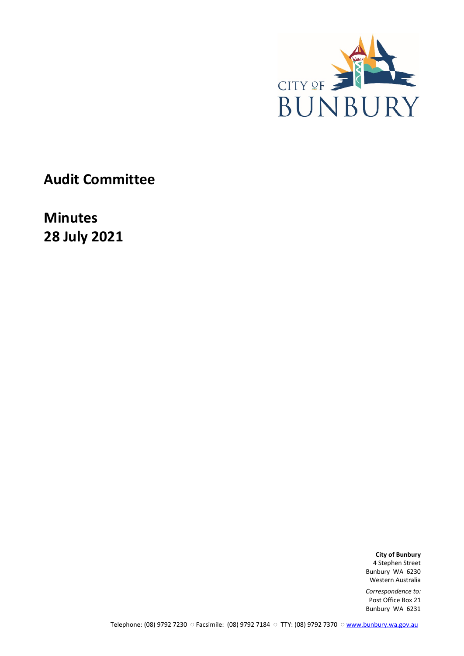

**Audit Committee**

**Minutes 28 July 2021**

> **City of Bunbury** 4 Stephen Street Bunbury WA 6230 Western Australia

*Correspondence to:* Post Office Box 21 Bunbury WA 6231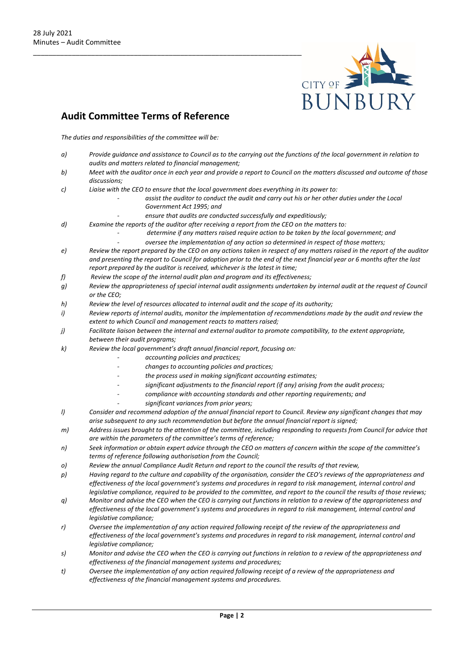

## **Audit Committee Terms of Reference**

*The duties and responsibilities of the committee will be:*

- *a) Provide guidance and assistance to Council as to the carrying out the functions of the local government in relation to audits and matters related to financial management;*
- *b) Meet with the auditor once in each year and provide a report to Council on the matters discussed and outcome of those discussions;*
- *c) Liaise with the CEO to ensure that the local government does everything in its power to:* 
	- *- assist the auditor to conduct the audit and carry out his or her other duties under the Local Government Act 1995; and*
	- *- ensure that audits are conducted successfully and expeditiously;*
- *d) Examine the reports of the auditor after receiving a report from the CEO on the matters to:* 
	- *- determine if any matters raised require action to be taken by the local government; and*
	- *- oversee the implementation of any action so determined in respect of those matters;*
- *e) Review the report prepared by the CEO on any actions taken in respect of any matters raised in the report of the auditor and presenting the report to Council for adoption prior to the end of the next financial year or 6 months after the last report prepared by the auditor is received, whichever is the latest in time;*
- *f) Review the scope of the internal audit plan and program and its effectiveness;*
- *g) Review the appropriateness of special internal audit assignments undertaken by internal audit at the request of Council or the CEO;*
- *h) Review the level of resources allocated to internal audit and the scope of its authority;*
- *i) Review reports of internal audits, monitor the implementation of recommendations made by the audit and review the extent to which Council and management reacts to matters raised;*
- *j) Facilitate liaison between the internal and external auditor to promote compatibility, to the extent appropriate, between their audit programs;*
- *k) Review the local government's draft annual financial report, focusing on:* 
	- *- accounting policies and practices;*
	- *- changes to accounting policies and practices;*
	- *- the process used in making significant accounting estimates;*
	- *- significant adjustments to the financial report (if any) arising from the audit process;*
	- *- compliance with accounting standards and other reporting requirements; and* 
		- *- significant variances from prior years;*
- *l) Consider and recommend adoption of the annual financial report to Council. Review any significant changes that may arise subsequent to any such recommendation but before the annual financial report is signed;*
- *m) Address issues brought to the attention of the committee, including responding to requests from Council for advice that are within the parameters of the committee's terms of reference;*
- *n) Seek information or obtain expert advice through the CEO on matters of concern within the scope of the committee's terms of reference following authorisation from the Council;*
- *o) Review the annual Compliance Audit Return and report to the council the results of that review,*
- *p) Having regard to the culture and capability of the organisation, consider the CEO's reviews of the appropriateness and*  effectiveness of the local government's systems and procedures in regard to risk management, internal control and *legislative compliance, required to be provided to the committee, and report to the council the results of those reviews;*
- *q) Monitor and advise the CEO when the CEO is carrying out functions in relation to a review of the appropriateness and effectiveness of the local government's systems and procedures in regard to risk management, internal control and legislative compliance;*
- *r) Oversee the implementation of any action required following receipt of the review of the appropriateness and effectiveness of the local government's systems and procedures in regard to risk management, internal control and legislative compliance;*
- *s) Monitor and advise the CEO when the CEO is carrying out functions in relation to a review of the appropriateness and effectiveness of the financial management systems and procedures;*
- *t) Oversee the implementation of any action required following receipt of a review of the appropriateness and effectiveness of the financial management systems and procedures.*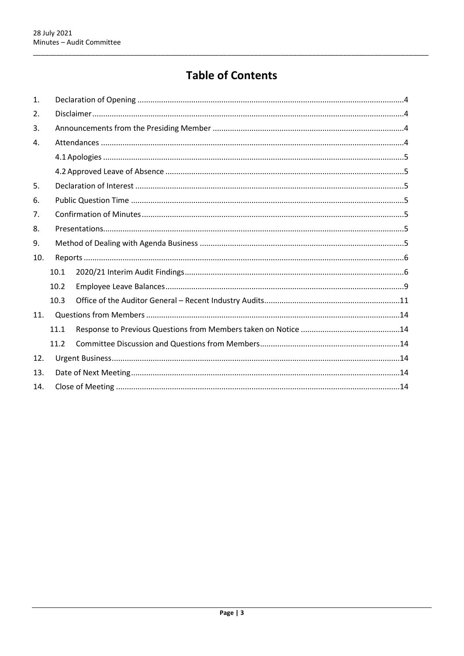# **Table of Contents**

| 1.  |      |  |  |  |
|-----|------|--|--|--|
| 2.  |      |  |  |  |
| 3.  |      |  |  |  |
| 4.  |      |  |  |  |
|     |      |  |  |  |
|     |      |  |  |  |
| 5.  |      |  |  |  |
| 6.  |      |  |  |  |
| 7.  |      |  |  |  |
| 8.  |      |  |  |  |
| 9.  |      |  |  |  |
| 10. |      |  |  |  |
|     | 10.1 |  |  |  |
|     | 10.2 |  |  |  |
|     | 10.3 |  |  |  |
| 11. |      |  |  |  |
|     | 11.1 |  |  |  |
|     | 11.2 |  |  |  |
| 12. |      |  |  |  |
| 13. |      |  |  |  |
| 14. |      |  |  |  |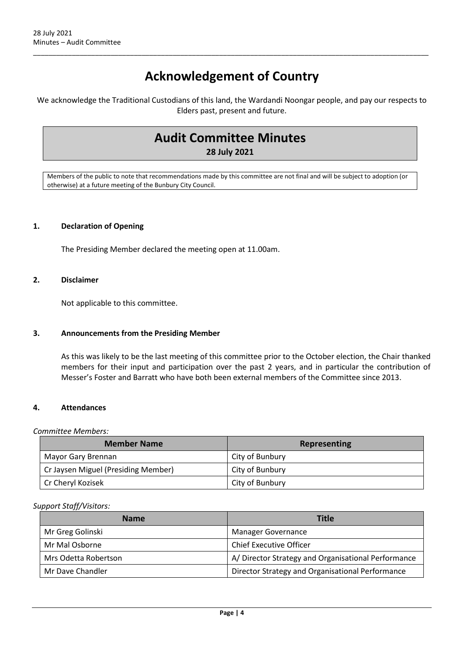# **Acknowledgement of Country**

\_\_\_\_\_\_\_\_\_\_\_\_\_\_\_\_\_\_\_\_\_\_\_\_\_\_\_\_\_\_\_\_\_\_\_\_\_\_\_\_\_\_\_\_\_\_\_\_\_\_\_\_\_\_\_\_\_\_\_\_\_\_\_\_\_\_\_\_\_\_\_\_\_\_\_\_\_\_\_\_\_\_\_\_\_\_\_\_\_\_\_\_\_\_\_\_\_\_\_\_\_\_

We acknowledge the Traditional Custodians of this land, the Wardandi Noongar people, and pay our respects to Elders past, present and future.

## **Audit Committee Minutes 28 July 2021**

Members of the public to note that recommendations made by this committee are not final and will be subject to adoption (or otherwise) at a future meeting of the Bunbury City Council.

#### <span id="page-3-0"></span>**1. Declaration of Opening**

The Presiding Member declared the meeting open at 11.00am.

#### <span id="page-3-1"></span>**2. Disclaimer**

Not applicable to this committee.

#### <span id="page-3-2"></span>**3. Announcements from the Presiding Member**

As this was likely to be the last meeting of this committee prior to the October election, the Chair thanked members for their input and participation over the past 2 years, and in particular the contribution of Messer's Foster and Barratt who have both been external members of the Committee since 2013.

#### <span id="page-3-3"></span>**4. Attendances**

#### *Committee Members:*

| <b>Member Name</b>                  | Representing    |
|-------------------------------------|-----------------|
| Mayor Gary Brennan                  | City of Bunbury |
| Cr Jaysen Miguel (Presiding Member) | City of Bunbury |
| Cr Cheryl Kozisek                   | City of Bunbury |

#### *Support Staff/Visitors:*

| <b>Name</b>          | Title                                               |
|----------------------|-----------------------------------------------------|
| Mr Greg Golinski     | <b>Manager Governance</b>                           |
| Mr Mal Osborne       | <b>Chief Executive Officer</b>                      |
| Mrs Odetta Robertson | A/ Director Strategy and Organisational Performance |
| Mr Dave Chandler     | Director Strategy and Organisational Performance    |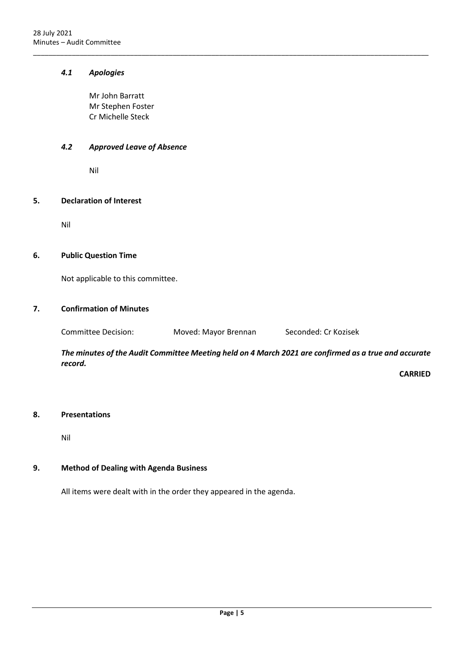#### *4.1 Apologies*

Mr John Barratt Mr Stephen Foster Cr Michelle Steck

#### <span id="page-4-1"></span>*4.2 Approved Leave of Absence*

Nil

### <span id="page-4-2"></span>**5. Declaration of Interest**

Nil

#### <span id="page-4-3"></span>**6. Public Question Time**

Not applicable to this committee.

#### <span id="page-4-4"></span>**7. Confirmation of Minutes**

Committee Decision: Moved: Mayor Brennan Seconded: Cr Kozisek

<span id="page-4-0"></span>\_\_\_\_\_\_\_\_\_\_\_\_\_\_\_\_\_\_\_\_\_\_\_\_\_\_\_\_\_\_\_\_\_\_\_\_\_\_\_\_\_\_\_\_\_\_\_\_\_\_\_\_\_\_\_\_\_\_\_\_\_\_\_\_\_\_\_\_\_\_\_\_\_\_\_\_\_\_\_\_\_\_\_\_\_\_\_\_\_\_\_\_\_\_\_\_\_\_\_\_\_\_

*The minutes of the Audit Committee Meeting held on 4 March 2021 are confirmed as a true and accurate record.*

**CARRIED**

#### <span id="page-4-5"></span>**8. Presentations**

Nil

#### <span id="page-4-6"></span>**9. Method of Dealing with Agenda Business**

All items were dealt with in the order they appeared in the agenda.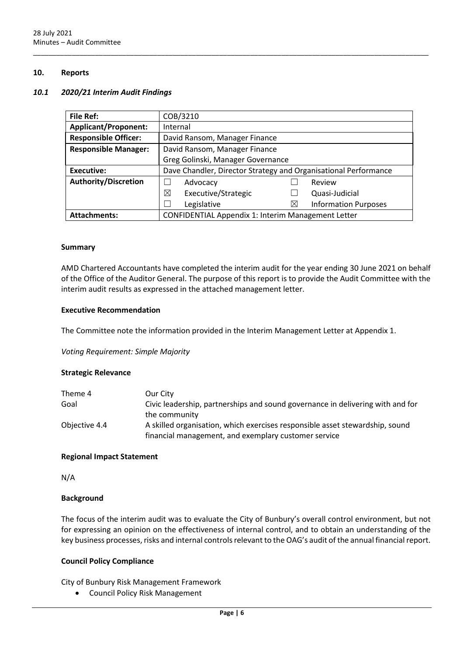### <span id="page-5-0"></span>**10. Reports**

#### <span id="page-5-1"></span>*10.1 2020/21 Interim Audit Findings*

| <b>File Ref:</b>            | COB/3210                                                        |             |                             |
|-----------------------------|-----------------------------------------------------------------|-------------|-----------------------------|
| <b>Applicant/Proponent:</b> | Internal                                                        |             |                             |
| <b>Responsible Officer:</b> | David Ransom, Manager Finance                                   |             |                             |
| <b>Responsible Manager:</b> | David Ransom, Manager Finance                                   |             |                             |
|                             | Greg Golinski, Manager Governance                               |             |                             |
| Executive:                  | Dave Chandler, Director Strategy and Organisational Performance |             |                             |
| <b>Authority/Discretion</b> | Advocacy                                                        |             | Review                      |
|                             | ⊠<br>Executive/Strategic                                        |             | Quasi-Judicial              |
|                             | Legislative                                                     | $\boxtimes$ | <b>Information Purposes</b> |
| <b>Attachments:</b>         | <b>CONFIDENTIAL Appendix 1: Interim Management Letter</b>       |             |                             |

\_\_\_\_\_\_\_\_\_\_\_\_\_\_\_\_\_\_\_\_\_\_\_\_\_\_\_\_\_\_\_\_\_\_\_\_\_\_\_\_\_\_\_\_\_\_\_\_\_\_\_\_\_\_\_\_\_\_\_\_\_\_\_\_\_\_\_\_\_\_\_\_\_\_\_\_\_\_\_\_\_\_\_\_\_\_\_\_\_\_\_\_\_\_\_\_\_\_\_\_\_\_

#### **Summary**

AMD Chartered Accountants have completed the interim audit for the year ending 30 June 2021 on behalf of the Office of the Auditor General. The purpose of this report is to provide the Audit Committee with the interim audit results as expressed in the attached management letter.

#### **Executive Recommendation**

The Committee note the information provided in the Interim Management Letter at Appendix 1.

*Voting Requirement: Simple Majority*

#### **Strategic Relevance**

| Theme 4       | Our City                                                                       |
|---------------|--------------------------------------------------------------------------------|
| Goal          | Civic leadership, partnerships and sound governance in delivering with and for |
|               | the community                                                                  |
| Objective 4.4 | A skilled organisation, which exercises responsible asset stewardship, sound   |
|               | financial management, and exemplary customer service                           |

#### **Regional Impact Statement**

N/A

#### **Background**

The focus of the interim audit was to evaluate the City of Bunbury's overall control environment, but not for expressing an opinion on the effectiveness of internal control, and to obtain an understanding of the key business processes, risks and internal controls relevant to the OAG's audit of the annual financial report.

#### **Council Policy Compliance**

City of Bunbury Risk Management Framework

• Council Policy Risk Management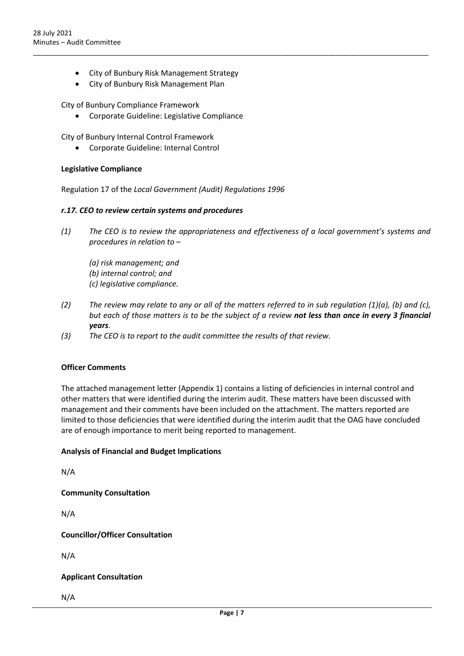- City of Bunbury Risk Management Strategy
- City of Bunbury Risk Management Plan

City of Bunbury Compliance Framework

• Corporate Guideline: Legislative Compliance

City of Bunbury Internal Control Framework

• Corporate Guideline: Internal Control

#### **Legislative Compliance**

Regulation 17 of the *Local Government (Audit) Regulations 1996*

#### *r.17. CEO to review certain systems and procedures*

*(1) The CEO is to review the appropriateness and effectiveness of a local government's systems and procedures in relation to –*

\_\_\_\_\_\_\_\_\_\_\_\_\_\_\_\_\_\_\_\_\_\_\_\_\_\_\_\_\_\_\_\_\_\_\_\_\_\_\_\_\_\_\_\_\_\_\_\_\_\_\_\_\_\_\_\_\_\_\_\_\_\_\_\_\_\_\_\_\_\_\_\_\_\_\_\_\_\_\_\_\_\_\_\_\_\_\_\_\_\_\_\_\_\_\_\_\_\_\_\_\_\_

- *(a) risk management; and (b) internal control; and (c) legislative compliance.*
- *(2) The review may relate to any or all of the matters referred to in sub regulation (1)(a), (b) and (c), but each of those matters is to be the subject of a review not less than once in every 3 financial years.*
- *(3) The CEO is to report to the audit committee the results of that review.*

#### **Officer Comments**

The attached management letter (Appendix 1) contains a listing of deficiencies in internal control and other matters that were identified during the interim audit. These matters have been discussed with management and their comments have been included on the attachment. The matters reported are limited to those deficiencies that were identified during the interim audit that the OAG have concluded are of enough importance to merit being reported to management.

#### **Analysis of Financial and Budget Implications**

N/A

**Community Consultation**

N/A

**Councillor/Officer Consultation**

N/A

#### **Applicant Consultation**

N/A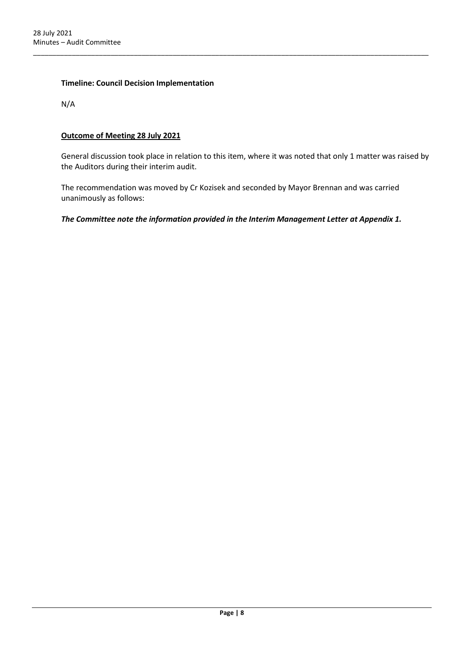#### **Timeline: Council Decision Implementation**

N/A

#### **Outcome of Meeting 28 July 2021**

General discussion took place in relation to this item, where it was noted that only 1 matter was raised by the Auditors during their interim audit.

The recommendation was moved by Cr Kozisek and seconded by Mayor Brennan and was carried unanimously as follows:

\_\_\_\_\_\_\_\_\_\_\_\_\_\_\_\_\_\_\_\_\_\_\_\_\_\_\_\_\_\_\_\_\_\_\_\_\_\_\_\_\_\_\_\_\_\_\_\_\_\_\_\_\_\_\_\_\_\_\_\_\_\_\_\_\_\_\_\_\_\_\_\_\_\_\_\_\_\_\_\_\_\_\_\_\_\_\_\_\_\_\_\_\_\_\_\_\_\_\_\_\_\_

*The Committee note the information provided in the Interim Management Letter at Appendix 1.*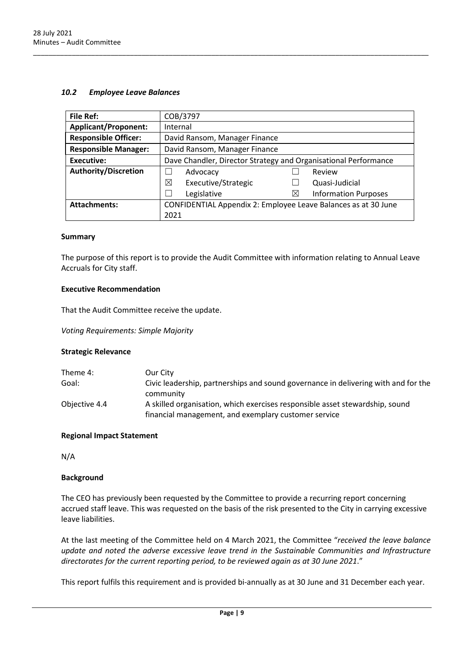#### *10.2 Employee Leave Balances*

| <b>File Ref:</b>            | COB/3797                                                        |             |                             |
|-----------------------------|-----------------------------------------------------------------|-------------|-----------------------------|
| <b>Applicant/Proponent:</b> | Internal                                                        |             |                             |
| <b>Responsible Officer:</b> | David Ransom, Manager Finance                                   |             |                             |
| <b>Responsible Manager:</b> | David Ransom, Manager Finance                                   |             |                             |
| <b>Executive:</b>           | Dave Chandler, Director Strategy and Organisational Performance |             |                             |
| <b>Authority/Discretion</b> | Advocacy                                                        |             | Review                      |
|                             | Executive/Strategic<br>⊠                                        |             | Quasi-Judicial              |
|                             | Legislative                                                     | $\boxtimes$ | <b>Information Purposes</b> |
| <b>Attachments:</b>         | CONFIDENTIAL Appendix 2: Employee Leave Balances as at 30 June  |             |                             |
|                             | 2021                                                            |             |                             |

<span id="page-8-0"></span>\_\_\_\_\_\_\_\_\_\_\_\_\_\_\_\_\_\_\_\_\_\_\_\_\_\_\_\_\_\_\_\_\_\_\_\_\_\_\_\_\_\_\_\_\_\_\_\_\_\_\_\_\_\_\_\_\_\_\_\_\_\_\_\_\_\_\_\_\_\_\_\_\_\_\_\_\_\_\_\_\_\_\_\_\_\_\_\_\_\_\_\_\_\_\_\_\_\_\_\_\_\_

#### **Summary**

The purpose of this report is to provide the Audit Committee with information relating to Annual Leave Accruals for City staff.

#### **Executive Recommendation**

That the Audit Committee receive the update.

*Voting Requirements: Simple Majority*

#### **Strategic Relevance**

| Theme 4:      | Our City                                                                           |
|---------------|------------------------------------------------------------------------------------|
| Goal:         | Civic leadership, partnerships and sound governance in delivering with and for the |
|               | community                                                                          |
| Objective 4.4 | A skilled organisation, which exercises responsible asset stewardship, sound       |
|               | financial management, and exemplary customer service                               |

#### **Regional Impact Statement**

N/A

### **Background**

The CEO has previously been requested by the Committee to provide a recurring report concerning accrued staff leave. This was requested on the basis of the risk presented to the City in carrying excessive leave liabilities.

At the last meeting of the Committee held on 4 March 2021, the Committee "*received the leave balance update and noted the adverse excessive leave trend in the Sustainable Communities and Infrastructure directorates for the current reporting period, to be reviewed again as at 30 June 2021*."

This report fulfils this requirement and is provided bi-annually as at 30 June and 31 December each year.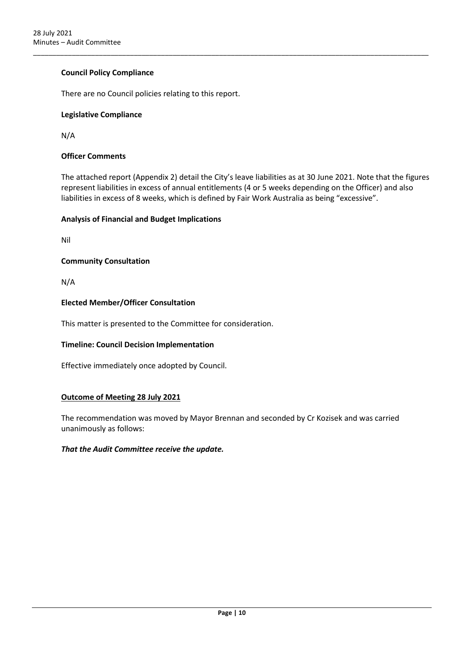#### **Council Policy Compliance**

There are no Council policies relating to this report.

#### **Legislative Compliance**

N/A

#### **Officer Comments**

The attached report (Appendix 2) detail the City's leave liabilities as at 30 June 2021. Note that the figures represent liabilities in excess of annual entitlements (4 or 5 weeks depending on the Officer) and also liabilities in excess of 8 weeks, which is defined by Fair Work Australia as being "excessive".

\_\_\_\_\_\_\_\_\_\_\_\_\_\_\_\_\_\_\_\_\_\_\_\_\_\_\_\_\_\_\_\_\_\_\_\_\_\_\_\_\_\_\_\_\_\_\_\_\_\_\_\_\_\_\_\_\_\_\_\_\_\_\_\_\_\_\_\_\_\_\_\_\_\_\_\_\_\_\_\_\_\_\_\_\_\_\_\_\_\_\_\_\_\_\_\_\_\_\_\_\_\_

#### **Analysis of Financial and Budget Implications**

Nil

#### **Community Consultation**

N/A

#### **Elected Member/Officer Consultation**

This matter is presented to the Committee for consideration.

### **Timeline: Council Decision Implementation**

Effective immediately once adopted by Council.

#### **Outcome of Meeting 28 July 2021**

The recommendation was moved by Mayor Brennan and seconded by Cr Kozisek and was carried unanimously as follows:

#### *That the Audit Committee receive the update.*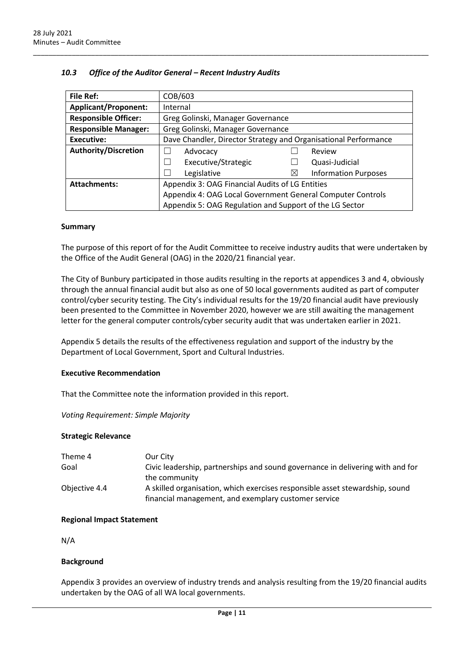| <b>File Ref:</b>            | COB/603                                                         |                                                 |                             |  |
|-----------------------------|-----------------------------------------------------------------|-------------------------------------------------|-----------------------------|--|
| <b>Applicant/Proponent:</b> | Internal                                                        |                                                 |                             |  |
| <b>Responsible Officer:</b> | Greg Golinski, Manager Governance                               |                                                 |                             |  |
| <b>Responsible Manager:</b> | Greg Golinski, Manager Governance                               |                                                 |                             |  |
| <b>Executive:</b>           | Dave Chandler, Director Strategy and Organisational Performance |                                                 |                             |  |
| <b>Authority/Discretion</b> | Advocacy                                                        |                                                 | Review                      |  |
|                             | Executive/Strategic                                             |                                                 | Quasi-Judicial              |  |
|                             | Legislative                                                     | $\boxtimes$                                     | <b>Information Purposes</b> |  |
| <b>Attachments:</b>         |                                                                 | Appendix 3: OAG Financial Audits of LG Entities |                             |  |
|                             | Appendix 4: OAG Local Government General Computer Controls      |                                                 |                             |  |
|                             | Appendix 5: OAG Regulation and Support of the LG Sector         |                                                 |                             |  |

<span id="page-10-0"></span>\_\_\_\_\_\_\_\_\_\_\_\_\_\_\_\_\_\_\_\_\_\_\_\_\_\_\_\_\_\_\_\_\_\_\_\_\_\_\_\_\_\_\_\_\_\_\_\_\_\_\_\_\_\_\_\_\_\_\_\_\_\_\_\_\_\_\_\_\_\_\_\_\_\_\_\_\_\_\_\_\_\_\_\_\_\_\_\_\_\_\_\_\_\_\_\_\_\_\_\_\_\_

### *10.3 Office of the Auditor General – Recent Industry Audits*

#### **Summary**

The purpose of this report of for the Audit Committee to receive industry audits that were undertaken by the Office of the Audit General (OAG) in the 2020/21 financial year.

The City of Bunbury participated in those audits resulting in the reports at appendices 3 and 4, obviously through the annual financial audit but also as one of 50 local governments audited as part of computer control/cyber security testing. The City's individual results for the 19/20 financial audit have previously been presented to the Committee in November 2020, however we are still awaiting the management letter for the general computer controls/cyber security audit that was undertaken earlier in 2021.

Appendix 5 details the results of the effectiveness regulation and support of the industry by the Department of Local Government, Sport and Cultural Industries.

#### **Executive Recommendation**

That the Committee note the information provided in this report.

*Voting Requirement: Simple Majority*

#### **Strategic Relevance**

| Theme 4       | Our City                                                                       |
|---------------|--------------------------------------------------------------------------------|
| Goal          | Civic leadership, partnerships and sound governance in delivering with and for |
|               | the community                                                                  |
| Objective 4.4 | A skilled organisation, which exercises responsible asset stewardship, sound   |
|               | financial management, and exemplary customer service                           |

#### **Regional Impact Statement**

N/A

#### **Background**

Appendix 3 provides an overview of industry trends and analysis resulting from the 19/20 financial audits undertaken by the OAG of all WA local governments.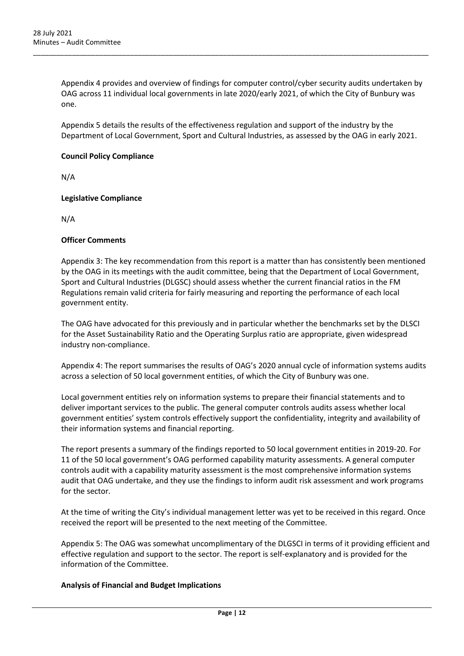Appendix 4 provides and overview of findings for computer control/cyber security audits undertaken by OAG across 11 individual local governments in late 2020/early 2021, of which the City of Bunbury was one.

\_\_\_\_\_\_\_\_\_\_\_\_\_\_\_\_\_\_\_\_\_\_\_\_\_\_\_\_\_\_\_\_\_\_\_\_\_\_\_\_\_\_\_\_\_\_\_\_\_\_\_\_\_\_\_\_\_\_\_\_\_\_\_\_\_\_\_\_\_\_\_\_\_\_\_\_\_\_\_\_\_\_\_\_\_\_\_\_\_\_\_\_\_\_\_\_\_\_\_\_\_\_

Appendix 5 details the results of the effectiveness regulation and support of the industry by the Department of Local Government, Sport and Cultural Industries, as assessed by the OAG in early 2021.

#### **Council Policy Compliance**

N/A

#### **Legislative Compliance**

N/A

### **Officer Comments**

Appendix 3: The key recommendation from this report is a matter than has consistently been mentioned by the OAG in its meetings with the audit committee, being that the Department of Local Government, Sport and Cultural Industries (DLGSC) should assess whether the current financial ratios in the FM Regulations remain valid criteria for fairly measuring and reporting the performance of each local government entity.

The OAG have advocated for this previously and in particular whether the benchmarks set by the DLSCI for the Asset Sustainability Ratio and the Operating Surplus ratio are appropriate, given widespread industry non-compliance.

Appendix 4: The report summarises the results of OAG's 2020 annual cycle of information systems audits across a selection of 50 local government entities, of which the City of Bunbury was one.

Local government entities rely on information systems to prepare their financial statements and to deliver important services to the public. The general computer controls audits assess whether local government entities' system controls effectively support the confidentiality, integrity and availability of their information systems and financial reporting.

The report presents a summary of the findings reported to 50 local government entities in 2019-20. For 11 of the 50 local government's OAG performed capability maturity assessments. A general computer controls audit with a capability maturity assessment is the most comprehensive information systems audit that OAG undertake, and they use the findings to inform audit risk assessment and work programs for the sector.

At the time of writing the City's individual management letter was yet to be received in this regard. Once received the report will be presented to the next meeting of the Committee.

Appendix 5: The OAG was somewhat uncomplimentary of the DLGSCI in terms of it providing efficient and effective regulation and support to the sector. The report is self-explanatory and is provided for the information of the Committee.

### **Analysis of Financial and Budget Implications**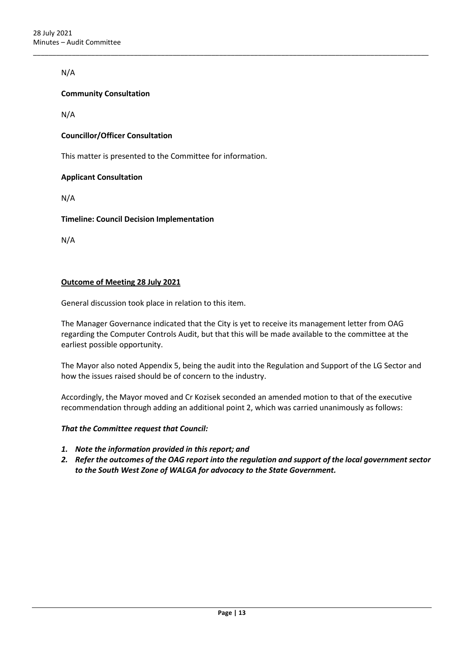### N/A

**Community Consultation**

N/A

#### **Councillor/Officer Consultation**

This matter is presented to the Committee for information.

#### **Applicant Consultation**

N/A

#### **Timeline: Council Decision Implementation**

N/A

#### **Outcome of Meeting 28 July 2021**

General discussion took place in relation to this item.

The Manager Governance indicated that the City is yet to receive its management letter from OAG regarding the Computer Controls Audit, but that this will be made available to the committee at the earliest possible opportunity.

\_\_\_\_\_\_\_\_\_\_\_\_\_\_\_\_\_\_\_\_\_\_\_\_\_\_\_\_\_\_\_\_\_\_\_\_\_\_\_\_\_\_\_\_\_\_\_\_\_\_\_\_\_\_\_\_\_\_\_\_\_\_\_\_\_\_\_\_\_\_\_\_\_\_\_\_\_\_\_\_\_\_\_\_\_\_\_\_\_\_\_\_\_\_\_\_\_\_\_\_\_\_

The Mayor also noted Appendix 5, being the audit into the Regulation and Support of the LG Sector and how the issues raised should be of concern to the industry.

Accordingly, the Mayor moved and Cr Kozisek seconded an amended motion to that of the executive recommendation through adding an additional point 2, which was carried unanimously as follows:

#### *That the Committee request that Council:*

- *1. Note the information provided in this report; and*
- *2. Refer the outcomes of the OAG report into the regulation and support of the local government sector to the South West Zone of WALGA for advocacy to the State Government.*